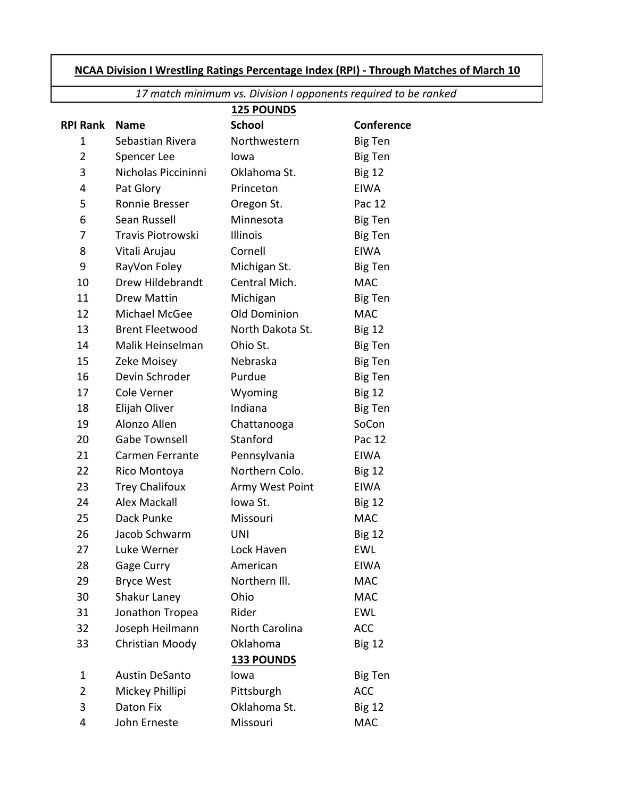## **NCAA Division I Wrestling Ratings Percentage Index (RPI) ‐ Through Matches of March 10**

*17 match minimum vs. Division I opponents required to be ranked*

|                 |                        | <b>125 POUNDS</b> |                   |
|-----------------|------------------------|-------------------|-------------------|
| <b>RPI Rank</b> | <b>Name</b>            | <b>School</b>     | <b>Conference</b> |
| 1               | Sebastian Rivera       | Northwestern      | <b>Big Ten</b>    |
| 2               | Spencer Lee            | lowa              | <b>Big Ten</b>    |
| 3               | Nicholas Piccininni    | Oklahoma St.      | <b>Big 12</b>     |
| 4               | Pat Glory              | Princeton         | <b>EIWA</b>       |
| 5               | Ronnie Bresser         | Oregon St.        | Pac 12            |
| 6               | Sean Russell           | Minnesota         | Big Ten           |
| 7               | Travis Piotrowski      | Illinois          | Big Ten           |
| 8               | Vitali Arujau          | Cornell           | <b>EIWA</b>       |
| 9               | RayVon Foley           | Michigan St.      | Big Ten           |
| 10              | Drew Hildebrandt       | Central Mich.     | <b>MAC</b>        |
| 11              | Drew Mattin            | Michigan          | Big Ten           |
| 12              | Michael McGee          | Old Dominion      | <b>MAC</b>        |
| 13              | <b>Brent Fleetwood</b> | North Dakota St.  | <b>Big 12</b>     |
| 14              | Malik Heinselman       | Ohio St.          | Big Ten           |
| 15              | Zeke Moisey            | Nebraska          | <b>Big Ten</b>    |
| 16              | Devin Schroder         | Purdue            | Big Ten           |
| 17              | Cole Verner            | Wyoming           | <b>Big 12</b>     |
| 18              | Elijah Oliver          | Indiana           | <b>Big Ten</b>    |
| 19              | Alonzo Allen           | Chattanooga       | SoCon             |
| 20              | <b>Gabe Townsell</b>   | Stanford          | Pac 12            |
| 21              | Carmen Ferrante        | Pennsylvania      | <b>EIWA</b>       |
| 22              | Rico Montoya           | Northern Colo.    | <b>Big 12</b>     |
| 23              | <b>Trey Chalifoux</b>  | Army West Point   | <b>EIWA</b>       |
| 24              | <b>Alex Mackall</b>    | Iowa St.          | <b>Big 12</b>     |
| 25              | Dack Punke             | Missouri          | <b>MAC</b>        |
| 26              | Jacob Schwarm          | <b>UNI</b>        | <b>Big 12</b>     |
| 27              | Luke Werner            | Lock Haven        | <b>EWL</b>        |
| 28              | Gage Curry             | American          | <b>EIWA</b>       |
| 29              | <b>Bryce West</b>      | Northern III.     | <b>MAC</b>        |
| 30              | Shakur Laney           | Ohio              | <b>MAC</b>        |
| 31              | Jonathon Tropea        | Rider             | <b>EWL</b>        |
| 32              | Joseph Heilmann        | North Carolina    | <b>ACC</b>        |
| 33              | Christian Moody        | Oklahoma          | <b>Big 12</b>     |
|                 |                        | <b>133 POUNDS</b> |                   |
| 1               | <b>Austin DeSanto</b>  | lowa              | Big Ten           |
| $\overline{2}$  | Mickey Phillipi        | Pittsburgh        | <b>ACC</b>        |
| 3               | Daton Fix              | Oklahoma St.      | <b>Big 12</b>     |
| 4               | John Erneste           | Missouri          | <b>MAC</b>        |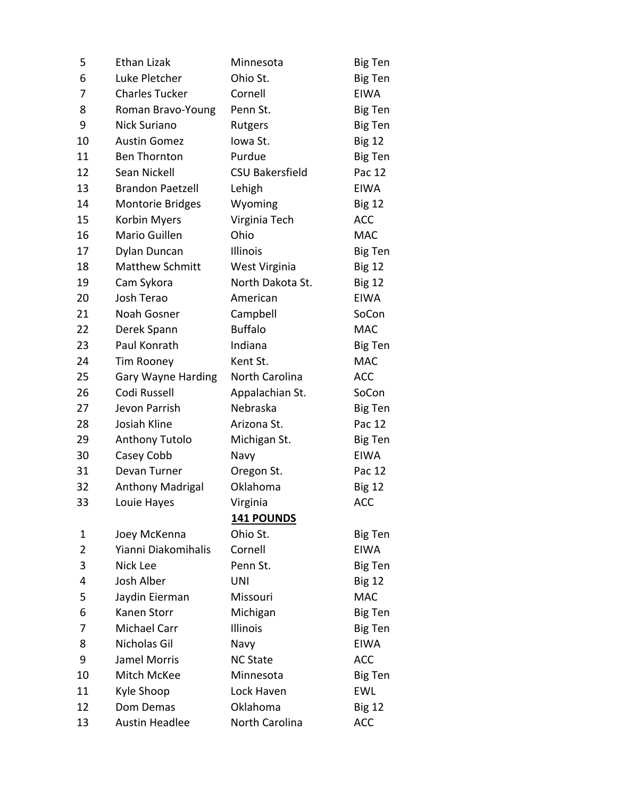| 5              | Ethan Lizak             | Minnesota              | Big Ten        |
|----------------|-------------------------|------------------------|----------------|
| 6              | Luke Pletcher           | Ohio St.               | Big Ten        |
| 7              | <b>Charles Tucker</b>   | Cornell                | <b>EIWA</b>    |
| 8              | Roman Bravo-Young       | Penn St.               | Big Ten        |
| 9              | Nick Suriano            | Rutgers                | Big Ten        |
| 10             | <b>Austin Gomez</b>     | Iowa St.               | <b>Big 12</b>  |
| 11             | <b>Ben Thornton</b>     | Purdue                 | Big Ten        |
| 12             | Sean Nickell            | <b>CSU Bakersfield</b> | Pac 12         |
| 13             | <b>Brandon Paetzell</b> | Lehigh                 | <b>EIWA</b>    |
| 14             | <b>Montorie Bridges</b> | Wyoming                | <b>Big 12</b>  |
| 15             | Korbin Myers            | Virginia Tech          | <b>ACC</b>     |
| 16             | Mario Guillen           | Ohio                   | <b>MAC</b>     |
| 17             | Dylan Duncan            | Illinois               | <b>Big Ten</b> |
| 18             | <b>Matthew Schmitt</b>  | West Virginia          | <b>Big 12</b>  |
| 19             | Cam Sykora              | North Dakota St.       | <b>Big 12</b>  |
| 20             | Josh Terao              | American               | <b>EIWA</b>    |
| 21             | Noah Gosner             | Campbell               | SoCon          |
| 22             | Derek Spann             | <b>Buffalo</b>         | <b>MAC</b>     |
| 23             | Paul Konrath            | Indiana                | <b>Big Ten</b> |
| 24             | Tim Rooney              | Kent St.               | <b>MAC</b>     |
| 25             | Gary Wayne Harding      | North Carolina         | <b>ACC</b>     |
| 26             | Codi Russell            | Appalachian St.        | SoCon          |
| 27             | Jevon Parrish           | Nebraska               | Big Ten        |
| 28             | Josiah Kline            | Arizona St.            | Pac 12         |
| 29             | <b>Anthony Tutolo</b>   | Michigan St.           | Big Ten        |
| 30             | Casey Cobb              | Navy                   | <b>EIWA</b>    |
| 31             | Devan Turner            | Oregon St.             | Pac 12         |
| 32             | <b>Anthony Madrigal</b> | Oklahoma               | <b>Big 12</b>  |
| 33             | Louie Hayes             | Virginia               | <b>ACC</b>     |
|                |                         | <b>141 POUNDS</b>      |                |
| 1              | Joey McKenna            | Ohio St.               | Big Ten        |
| $\overline{2}$ | Yianni Diakomihalis     | Cornell                | <b>EIWA</b>    |
| 3              | Nick Lee                | Penn St.               | Big Ten        |
| 4              | Josh Alber              | <b>UNI</b>             | <b>Big 12</b>  |
| 5              | Jaydin Eierman          | Missouri               | <b>MAC</b>     |
| 6              | <b>Kanen Storr</b>      | Michigan               | <b>Big Ten</b> |
| 7              | Michael Carr            | Illinois               | Big Ten        |
| 8              | Nicholas Gil            | Navy                   | <b>EIWA</b>    |
| 9              | Jamel Morris            | <b>NC State</b>        | <b>ACC</b>     |
| 10             | Mitch McKee             | Minnesota              | Big Ten        |
| 11             | Kyle Shoop              | Lock Haven             | <b>EWL</b>     |
| 12             | Dom Demas               | Oklahoma               | <b>Big 12</b>  |
| 13             | Austin Headlee          | North Carolina         | <b>ACC</b>     |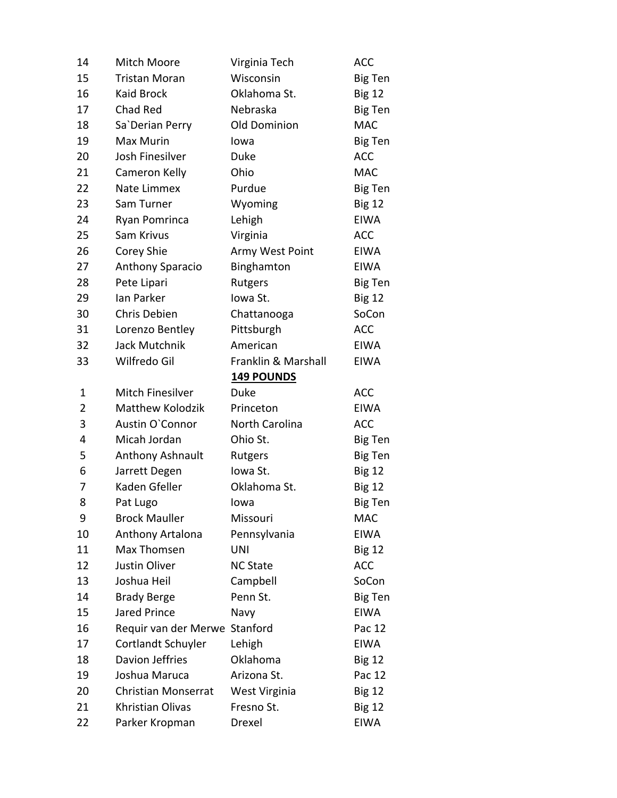| 14 | Mitch Moore                   | Virginia Tech       | <b>ACC</b>     |
|----|-------------------------------|---------------------|----------------|
| 15 | <b>Tristan Moran</b>          | Wisconsin           | <b>Big Ten</b> |
| 16 | <b>Kaid Brock</b>             | Oklahoma St.        | <b>Big 12</b>  |
| 17 | Chad Red                      | Nebraska            | <b>Big Ten</b> |
| 18 | Sa`Derian Perry               | Old Dominion        | <b>MAC</b>     |
| 19 | Max Murin                     | lowa                | <b>Big Ten</b> |
| 20 | Josh Finesilver               | Duke                | <b>ACC</b>     |
| 21 | Cameron Kelly                 | Ohio                | <b>MAC</b>     |
| 22 | Nate Limmex                   | Purdue              | <b>Big Ten</b> |
| 23 | Sam Turner                    | Wyoming             | <b>Big 12</b>  |
| 24 | Ryan Pomrinca                 | Lehigh              | <b>EIWA</b>    |
| 25 | Sam Krivus                    | Virginia            | <b>ACC</b>     |
| 26 | Corey Shie                    | Army West Point     | <b>EIWA</b>    |
| 27 | Anthony Sparacio              | Binghamton          | <b>EIWA</b>    |
| 28 | Pete Lipari                   | Rutgers             | <b>Big Ten</b> |
| 29 | Ian Parker                    | Iowa St.            | <b>Big 12</b>  |
| 30 | Chris Debien                  | Chattanooga         | SoCon          |
| 31 | Lorenzo Bentley               | Pittsburgh          | <b>ACC</b>     |
| 32 | Jack Mutchnik                 | American            | <b>EIWA</b>    |
| 33 | Wilfredo Gil                  | Franklin & Marshall | <b>EIWA</b>    |
|    |                               | <b>149 POUNDS</b>   |                |
| 1  | <b>Mitch Finesilver</b>       | <b>Duke</b>         | <b>ACC</b>     |
| 2  | <b>Matthew Kolodzik</b>       | Princeton           | <b>EIWA</b>    |
| 3  | Austin O'Connor               | North Carolina      | <b>ACC</b>     |
| 4  | Micah Jordan                  | Ohio St.            | Big Ten        |
| 5  | Anthony Ashnault              | Rutgers             | <b>Big Ten</b> |
| 6  | Jarrett Degen                 | lowa St.            | <b>Big 12</b>  |
| 7  | Kaden Gfeller                 | Oklahoma St.        | <b>Big 12</b>  |
| 8  | Pat Lugo                      | lowa                | Big Ten        |
| 9  | <b>Brock Mauller</b>          | Missouri            | <b>MAC</b>     |
| 10 | Anthony Artalona              | Pennsylvania        | <b>EIWA</b>    |
| 11 | Max Thomsen                   | <b>UNI</b>          | <b>Big 12</b>  |
| 12 | Justin Oliver                 | <b>NC State</b>     | <b>ACC</b>     |
| 13 | Joshua Heil                   | Campbell            | SoCon          |
| 14 | <b>Brady Berge</b>            | Penn St.            | <b>Big Ten</b> |
| 15 | <b>Jared Prince</b>           | Navy                | <b>EIWA</b>    |
| 16 | Requir van der Merwe Stanford |                     | Pac 12         |
| 17 | Cortlandt Schuyler            | Lehigh              | <b>EIWA</b>    |
| 18 | Davion Jeffries               | Oklahoma            | <b>Big 12</b>  |
| 19 | Joshua Maruca                 | Arizona St.         | Pac 12         |
| 20 | <b>Christian Monserrat</b>    | West Virginia       | <b>Big 12</b>  |
| 21 | Khristian Olivas              | Fresno St.          | <b>Big 12</b>  |
| 22 | Parker Kropman                | Drexel              | <b>EIWA</b>    |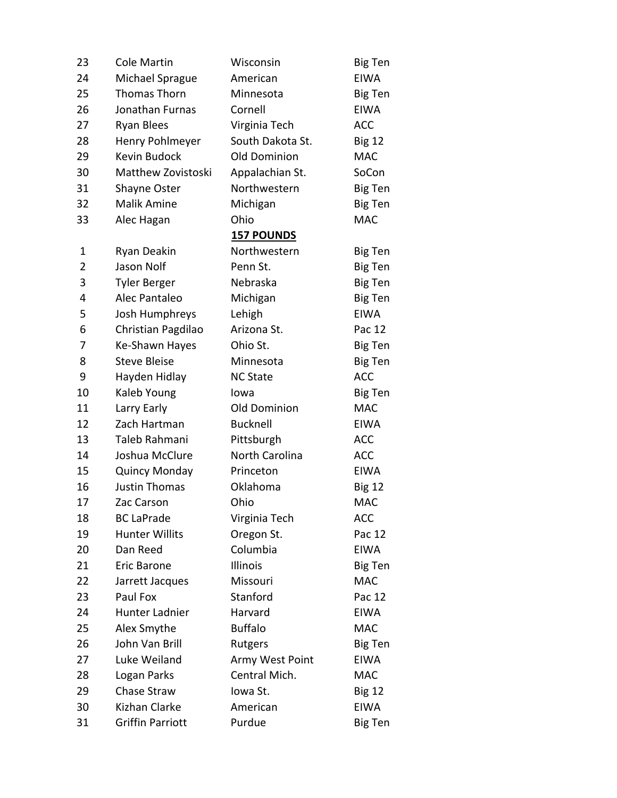| 23             | Cole Martin           | Wisconsin         | <b>Big Ten</b> |
|----------------|-----------------------|-------------------|----------------|
| 24             | Michael Sprague       | American          | <b>EIWA</b>    |
| 25             | <b>Thomas Thorn</b>   | Minnesota         | Big Ten        |
| 26             | Jonathan Furnas       | Cornell           | <b>EIWA</b>    |
| 27             | <b>Ryan Blees</b>     | Virginia Tech     | <b>ACC</b>     |
| 28             | Henry Pohlmeyer       | South Dakota St.  | <b>Big 12</b>  |
| 29             | Kevin Budock          | Old Dominion      | <b>MAC</b>     |
| 30             | Matthew Zovistoski    | Appalachian St.   | SoCon          |
| 31             | Shayne Oster          | Northwestern      | Big Ten        |
| 32             | <b>Malik Amine</b>    | Michigan          | Big Ten        |
| 33             | Alec Hagan            | Ohio              | <b>MAC</b>     |
|                |                       | <b>157 POUNDS</b> |                |
| 1              | Ryan Deakin           | Northwestern      | <b>Big Ten</b> |
| $\overline{2}$ | Jason Nolf            | Penn St.          | Big Ten        |
| 3              | <b>Tyler Berger</b>   | Nebraska          | <b>Big Ten</b> |
| 4              | Alec Pantaleo         | Michigan          | <b>Big Ten</b> |
| 5              | Josh Humphreys        | Lehigh            | <b>EIWA</b>    |
| 6              | Christian Pagdilao    | Arizona St.       | Pac 12         |
| 7              | Ke-Shawn Hayes        | Ohio St.          | Big Ten        |
| 8              | <b>Steve Bleise</b>   | Minnesota         | <b>Big Ten</b> |
| 9              | Hayden Hidlay         | <b>NC State</b>   | <b>ACC</b>     |
| 10             | Kaleb Young           | lowa              | <b>Big Ten</b> |
| 11             | Larry Early           | Old Dominion      | <b>MAC</b>     |
| 12             | Zach Hartman          | <b>Bucknell</b>   | <b>EIWA</b>    |
| 13             | Taleb Rahmani         | Pittsburgh        | <b>ACC</b>     |
| 14             | Joshua McClure        | North Carolina    | ACC            |
| 15             | <b>Quincy Monday</b>  | Princeton         | <b>EIWA</b>    |
| 16             | <b>Justin Thomas</b>  | Oklahoma          | <b>Big 12</b>  |
| 17             | Zac Carson            | Ohio              | <b>MAC</b>     |
| 18             | <b>BC LaPrade</b>     | Virginia Tech     | <b>ACC</b>     |
| 19             | <b>Hunter Willits</b> | Oregon St.        | Pac 12         |
| 20             | Dan Reed              | Columbia          | <b>EIWA</b>    |
| 21             | Eric Barone           | Illinois          | Big Ten        |
| 22             | Jarrett Jacques       | Missouri          | <b>MAC</b>     |
| 23             | Paul Fox              | Stanford          | Pac 12         |
| 24             | Hunter Ladnier        | Harvard           | <b>EIWA</b>    |
| 25             | Alex Smythe           | <b>Buffalo</b>    | <b>MAC</b>     |
| 26             | John Van Brill        | Rutgers           | Big Ten        |
| 27             | Luke Weiland          | Army West Point   | <b>EIWA</b>    |
| 28             | Logan Parks           | Central Mich.     | <b>MAC</b>     |
| 29             | Chase Straw           | Iowa St.          | <b>Big 12</b>  |
| 30             | Kizhan Clarke         | American          | <b>EIWA</b>    |
| 31             | Griffin Parriott      | Purdue            | <b>Big Ten</b> |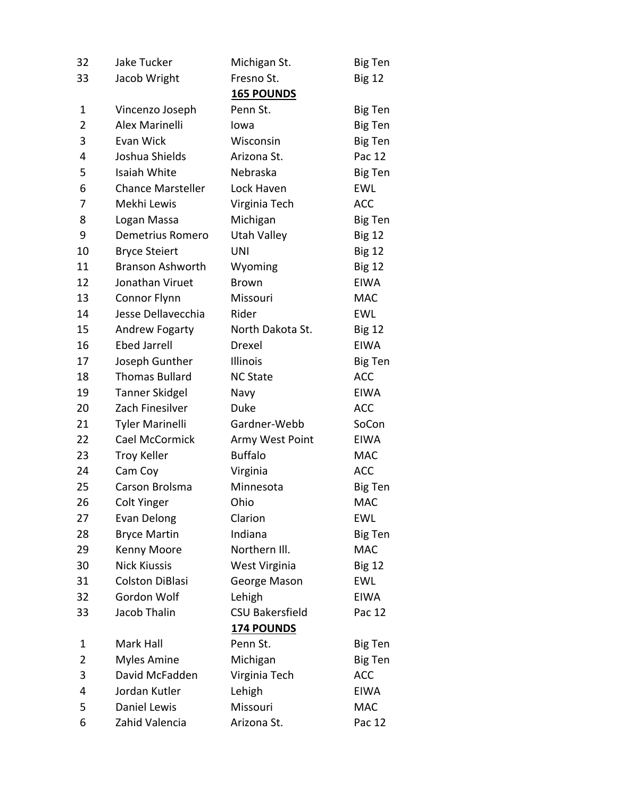| 32             | Jake Tucker              | Michigan St.           | <b>Big Ten</b> |
|----------------|--------------------------|------------------------|----------------|
| 33             | Jacob Wright             | Fresno St.             | <b>Big 12</b>  |
|                |                          | <b>165 POUNDS</b>      |                |
| 1              | Vincenzo Joseph          | Penn St.               | <b>Big Ten</b> |
| $\overline{2}$ | Alex Marinelli           | lowa                   | <b>Big Ten</b> |
| 3              | Evan Wick                | Wisconsin              | Big Ten        |
| 4              | Joshua Shields           | Arizona St.            | Pac 12         |
| 5              | Isaiah White             | Nebraska               | Big Ten        |
| 6              | <b>Chance Marsteller</b> | Lock Haven             | <b>EWL</b>     |
| 7              | Mekhi Lewis              | Virginia Tech          | <b>ACC</b>     |
| 8              | Logan Massa              | Michigan               | <b>Big Ten</b> |
| 9              | Demetrius Romero         | Utah Valley            | <b>Big 12</b>  |
| 10             | <b>Bryce Steiert</b>     | UNI                    | <b>Big 12</b>  |
| 11             | <b>Branson Ashworth</b>  | Wyoming                | <b>Big 12</b>  |
| 12             | Jonathan Viruet          | <b>Brown</b>           | <b>EIWA</b>    |
| 13             | Connor Flynn             | Missouri               | <b>MAC</b>     |
| 14             | Jesse Dellavecchia       | Rider                  | EWL            |
| 15             | Andrew Fogarty           | North Dakota St.       | <b>Big 12</b>  |
| 16             | <b>Ebed Jarrell</b>      | Drexel                 | <b>EIWA</b>    |
| 17             | Joseph Gunther           | Illinois               | Big Ten        |
| 18             | <b>Thomas Bullard</b>    | <b>NC State</b>        | <b>ACC</b>     |
| 19             | <b>Tanner Skidgel</b>    | Navy                   | <b>EIWA</b>    |
| 20             | Zach Finesilver          | Duke                   | <b>ACC</b>     |
| 21             | <b>Tyler Marinelli</b>   | Gardner-Webb           | SoCon          |
| 22             | Cael McCormick           | Army West Point        | <b>EIWA</b>    |
| 23             | <b>Troy Keller</b>       | <b>Buffalo</b>         | <b>MAC</b>     |
| 24             | Cam Coy                  | Virginia               | <b>ACC</b>     |
| 25             | Carson Brolsma           | Minnesota              | <b>Big Ten</b> |
| 26             | <b>Colt Yinger</b>       | Ohio                   | <b>MAC</b>     |
| 27             | Evan Delong              | Clarion                | <b>EWL</b>     |
| 28             | <b>Bryce Martin</b>      | Indiana                | <b>Big Ten</b> |
| 29             | Kenny Moore              | Northern III.          | <b>MAC</b>     |
| 30             | <b>Nick Kiussis</b>      | West Virginia          | <b>Big 12</b>  |
| 31             | <b>Colston DiBlasi</b>   | George Mason           | <b>EWL</b>     |
| 32             | Gordon Wolf              | Lehigh                 | <b>EIWA</b>    |
| 33             | Jacob Thalin             | <b>CSU Bakersfield</b> | Pac 12         |
|                |                          | <b>174 POUNDS</b>      |                |
| 1              | Mark Hall                | Penn St.               | Big Ten        |
| $\overline{2}$ | <b>Myles Amine</b>       | Michigan               | <b>Big Ten</b> |
| 3              | David McFadden           | Virginia Tech          | <b>ACC</b>     |
| 4              | Jordan Kutler            | Lehigh                 | <b>EIWA</b>    |
| 5              | Daniel Lewis             | Missouri               | <b>MAC</b>     |
| 6              | Zahid Valencia           | Arizona St.            | Pac 12         |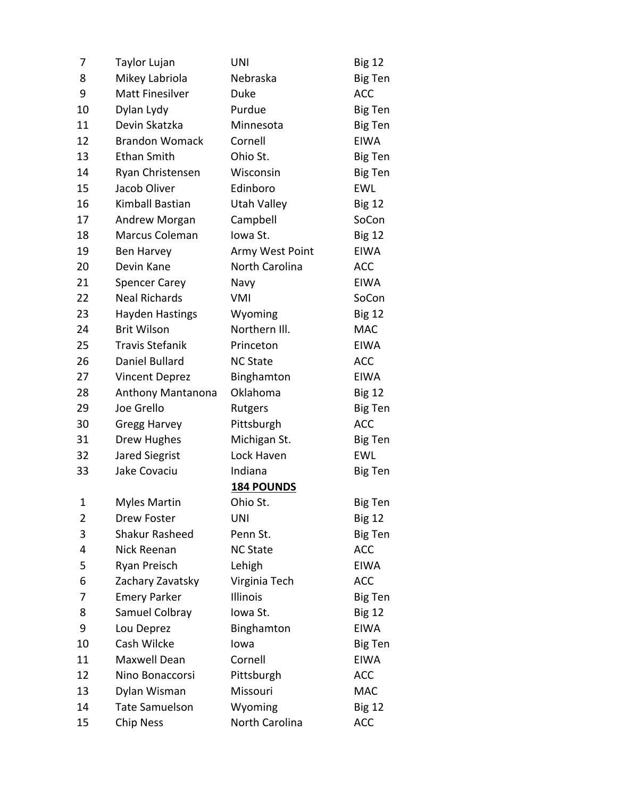| 7  | Taylor Lujan           | <b>UNI</b>         | <b>Big 12</b>  |
|----|------------------------|--------------------|----------------|
| 8  | Mikey Labriola         | Nebraska           | Big Ten        |
| 9  | <b>Matt Finesilver</b> | <b>Duke</b>        | <b>ACC</b>     |
| 10 | Dylan Lydy             | Purdue             | <b>Big Ten</b> |
| 11 | Devin Skatzka          | Minnesota          | <b>Big Ten</b> |
| 12 | <b>Brandon Womack</b>  | Cornell            | <b>EIWA</b>    |
| 13 | <b>Ethan Smith</b>     | Ohio St.           | <b>Big Ten</b> |
| 14 | Ryan Christensen       | Wisconsin          | <b>Big Ten</b> |
| 15 | Jacob Oliver           | Edinboro           | <b>EWL</b>     |
| 16 | Kimball Bastian        | <b>Utah Valley</b> | <b>Big 12</b>  |
| 17 | Andrew Morgan          | Campbell           | SoCon          |
| 18 | Marcus Coleman         | Iowa St.           | <b>Big 12</b>  |
| 19 | Ben Harvey             | Army West Point    | <b>EIWA</b>    |
| 20 | Devin Kane             | North Carolina     | <b>ACC</b>     |
| 21 | <b>Spencer Carey</b>   | Navy               | <b>EIWA</b>    |
| 22 | <b>Neal Richards</b>   | VMI                | SoCon          |
| 23 | Hayden Hastings        | Wyoming            | <b>Big 12</b>  |
| 24 | <b>Brit Wilson</b>     | Northern III.      | <b>MAC</b>     |
| 25 | <b>Travis Stefanik</b> | Princeton          | <b>EIWA</b>    |
| 26 | Daniel Bullard         | <b>NC State</b>    | <b>ACC</b>     |
| 27 | <b>Vincent Deprez</b>  | Binghamton         | <b>EIWA</b>    |
| 28 | Anthony Mantanona      | Oklahoma           | <b>Big 12</b>  |
| 29 | Joe Grello             | Rutgers            | <b>Big Ten</b> |
| 30 | <b>Gregg Harvey</b>    | Pittsburgh         | <b>ACC</b>     |
| 31 | Drew Hughes            | Michigan St.       | Big Ten        |
| 32 | <b>Jared Siegrist</b>  | Lock Haven         | <b>EWL</b>     |
| 33 | Jake Covaciu           | Indiana            | Big Ten        |
|    |                        | <b>184 POUNDS</b>  |                |
| 1  | <b>Myles Martin</b>    | Ohio St.           | <b>Big Ten</b> |
| 2  | Drew Foster            | UNI                | <b>Big 12</b>  |
| 3  | Shakur Rasheed         | Penn St.           | <b>Big Ten</b> |
| 4  | Nick Reenan            | <b>NC State</b>    | <b>ACC</b>     |
| 5  | Ryan Preisch           | Lehigh             | <b>EIWA</b>    |
| 6  | Zachary Zavatsky       | Virginia Tech      | <b>ACC</b>     |
| 7  | <b>Emery Parker</b>    | Illinois           | <b>Big Ten</b> |
| 8  | Samuel Colbray         | Iowa St.           | <b>Big 12</b>  |
| 9  | Lou Deprez             | Binghamton         | <b>EIWA</b>    |
| 10 | Cash Wilcke            | lowa               | <b>Big Ten</b> |
| 11 | Maxwell Dean           | Cornell            | <b>EIWA</b>    |
| 12 | Nino Bonaccorsi        | Pittsburgh         | <b>ACC</b>     |
| 13 | Dylan Wisman           | Missouri           | <b>MAC</b>     |
| 14 | <b>Tate Samuelson</b>  | Wyoming            | <b>Big 12</b>  |
| 15 | Chip Ness              | North Carolina     | <b>ACC</b>     |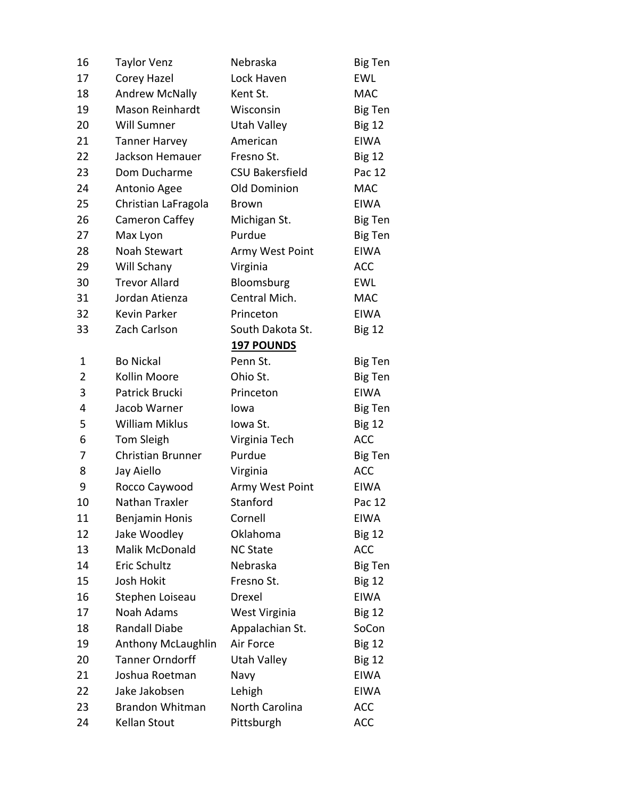| 16             | <b>Taylor Venz</b>        | Nebraska               | <b>Big Ten</b> |
|----------------|---------------------------|------------------------|----------------|
| 17             | Corey Hazel               | Lock Haven             | <b>EWL</b>     |
| 18             | <b>Andrew McNally</b>     | Kent St.               | <b>MAC</b>     |
| 19             | <b>Mason Reinhardt</b>    | Wisconsin              | Big Ten        |
| 20             | Will Sumner               | Utah Valley            | <b>Big 12</b>  |
| 21             | <b>Tanner Harvey</b>      | American               | <b>EIWA</b>    |
| 22             | Jackson Hemauer           | Fresno St.             | <b>Big 12</b>  |
| 23             | Dom Ducharme              | <b>CSU Bakersfield</b> | Pac 12         |
| 24             | Antonio Agee              | Old Dominion           | <b>MAC</b>     |
| 25             | Christian LaFragola       | <b>Brown</b>           | <b>EIWA</b>    |
| 26             | Cameron Caffey            | Michigan St.           | Big Ten        |
| 27             | Max Lyon                  | Purdue                 | <b>Big Ten</b> |
| 28             | <b>Noah Stewart</b>       | Army West Point        | <b>EIWA</b>    |
| 29             | Will Schany               | Virginia               | <b>ACC</b>     |
| 30             | <b>Trevor Allard</b>      | Bloomsburg             | <b>EWL</b>     |
| 31             | Jordan Atienza            | Central Mich.          | <b>MAC</b>     |
| 32             | <b>Kevin Parker</b>       | Princeton              | <b>EIWA</b>    |
| 33             | Zach Carlson              | South Dakota St.       | <b>Big 12</b>  |
|                |                           | <b>197 POUNDS</b>      |                |
| 1              | <b>Bo Nickal</b>          | Penn St.               | Big Ten        |
| $\overline{2}$ | Kollin Moore              | Ohio St.               | <b>Big Ten</b> |
| 3              | Patrick Brucki            | Princeton              | <b>EIWA</b>    |
| 4              | Jacob Warner              | lowa                   | <b>Big Ten</b> |
| 5              | <b>William Miklus</b>     | Iowa St.               | <b>Big 12</b>  |
| 6              | Tom Sleigh                | Virginia Tech          | <b>ACC</b>     |
| 7              | Christian Brunner         | Purdue                 | <b>Big Ten</b> |
| 8              | Jay Aiello                | Virginia               | <b>ACC</b>     |
| 9              | Rocco Caywood             | Army West Point        | <b>EIWA</b>    |
| 10             | Nathan Traxler            | Stanford               | Pac 12         |
| 11             | <b>Benjamin Honis</b>     | Cornell                | <b>EIWA</b>    |
| 12             | Jake Woodley              | Oklahoma               | <b>Big 12</b>  |
| 13             | Malik McDonald            | <b>NC State</b>        | <b>ACC</b>     |
| 14             | Eric Schultz              | Nebraska               | <b>Big Ten</b> |
| 15             | <b>Josh Hokit</b>         | Fresno St.             | <b>Big 12</b>  |
| 16             | Stephen Loiseau           | Drexel                 | <b>EIWA</b>    |
| 17             | Noah Adams                | West Virginia          | <b>Big 12</b>  |
| 18             | <b>Randall Diabe</b>      | Appalachian St.        | SoCon          |
| 19             | <b>Anthony McLaughlin</b> | Air Force              | <b>Big 12</b>  |
| 20             | <b>Tanner Orndorff</b>    | Utah Valley            | <b>Big 12</b>  |
| 21             | Joshua Roetman            | Navy                   | <b>EIWA</b>    |
| 22             | Jake Jakobsen             | Lehigh                 | <b>EIWA</b>    |
| 23             | <b>Brandon Whitman</b>    | North Carolina         | <b>ACC</b>     |
| 24             | Kellan Stout              | Pittsburgh             | <b>ACC</b>     |